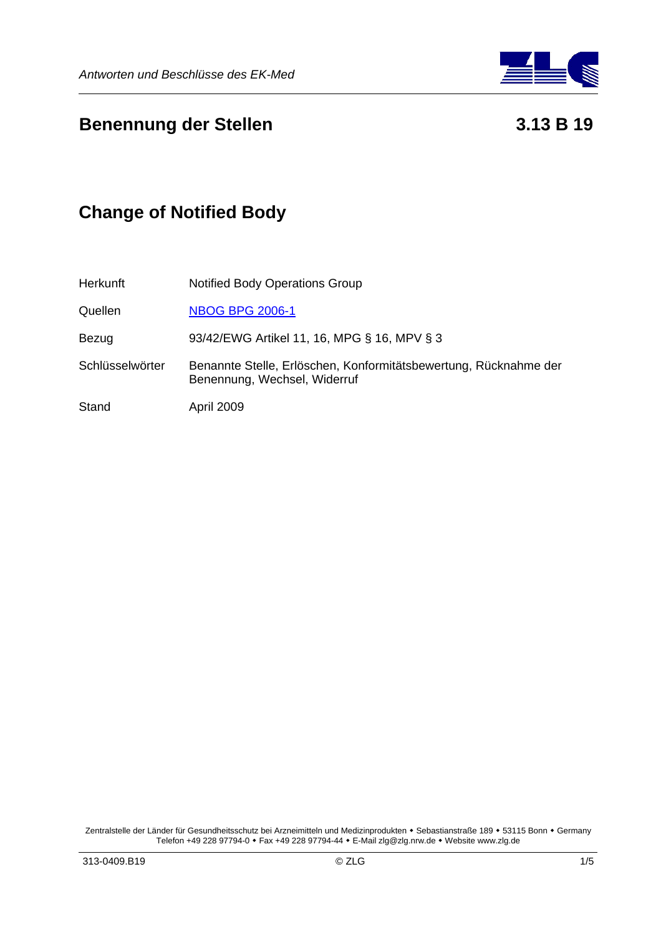

## **Benennung der Stellen 1998 benennung der Stellen 1998 benennung der Stellen 1999**

# **Change of Notified Body**

| Herkunft        | <b>Notified Body Operations Group</b>                                                            |
|-----------------|--------------------------------------------------------------------------------------------------|
| Quellen         | <b>NBOG BPG 2006-1</b>                                                                           |
| Bezug           | 93/42/EWG Artikel 11, 16, MPG § 16, MPV § 3                                                      |
| Schlüsselwörter | Benannte Stelle, Erlöschen, Konformitätsbewertung, Rücknahme der<br>Benennung, Wechsel, Widerruf |
| Stand           | April 2009                                                                                       |

Zentralstelle der Länder für Gesundheitsschutz bei Arzneimitteln und Medizinprodukten • Sebastianstraße 189 • 53115 Bonn • Germany Telefon +49 228 97794-0 Fax +49 228 97794-44 E-Mail zlg@zlg.nrw.de Website www.zlg.de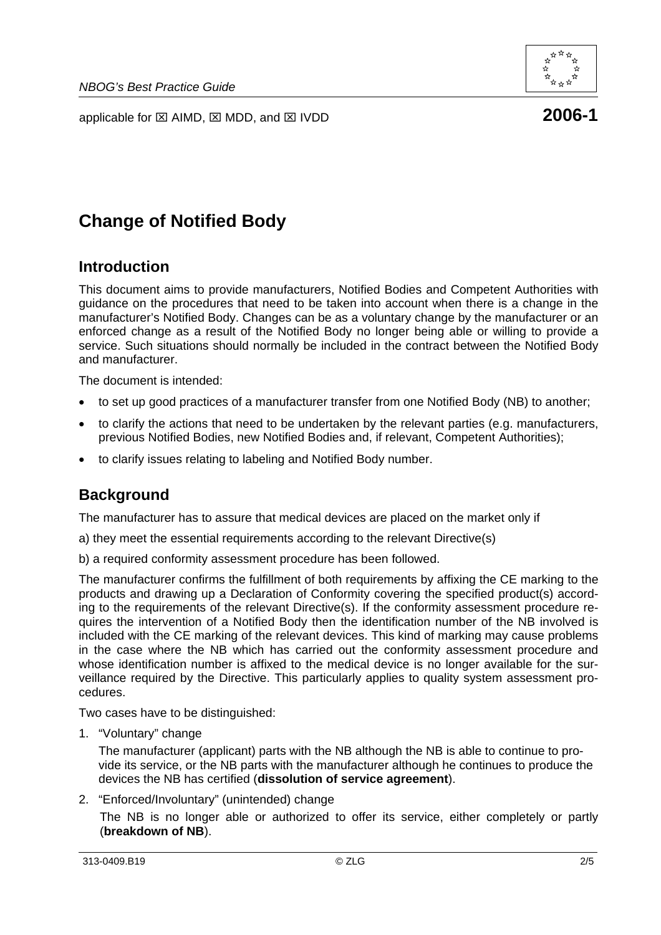



# **Change of Notified Body**

### **Introduction**

This document aims to provide manufacturers, Notified Bodies and Competent Authorities with guidance on the procedures that need to be taken into account when there is a change in the manufacturer's Notified Body. Changes can be as a voluntary change by the manufacturer or an enforced change as a result of the Notified Body no longer being able or willing to provide a service. Such situations should normally be included in the contract between the Notified Body and manufacturer.

The document is intended:

- to set up good practices of a manufacturer transfer from one Notified Body (NB) to another;
- to clarify the actions that need to be undertaken by the relevant parties (e.g. manufacturers, previous Notified Bodies, new Notified Bodies and, if relevant, Competent Authorities);
- to clarify issues relating to labeling and Notified Body number.

## **Background**

The manufacturer has to assure that medical devices are placed on the market only if

- a) they meet the essential requirements according to the relevant Directive(s)
- b) a required conformity assessment procedure has been followed.

The manufacturer confirms the fulfillment of both requirements by affixing the CE marking to the products and drawing up a Declaration of Conformity covering the specified product(s) according to the requirements of the relevant Directive(s). If the conformity assessment procedure requires the intervention of a Notified Body then the identification number of the NB involved is included with the CE marking of the relevant devices. This kind of marking may cause problems in the case where the NB which has carried out the conformity assessment procedure and whose identification number is affixed to the medical device is no longer available for the surveillance required by the Directive. This particularly applies to quality system assessment procedures.

Two cases have to be distinguished:

1. "Voluntary" change

The manufacturer (applicant) parts with the NB although the NB is able to continue to provide its service, or the NB parts with the manufacturer although he continues to produce the devices the NB has certified (**dissolution of service agreement**).

2. "Enforced/Involuntary" (unintended) change

The NB is no longer able or authorized to offer its service, either completely or partly (**breakdown of NB**).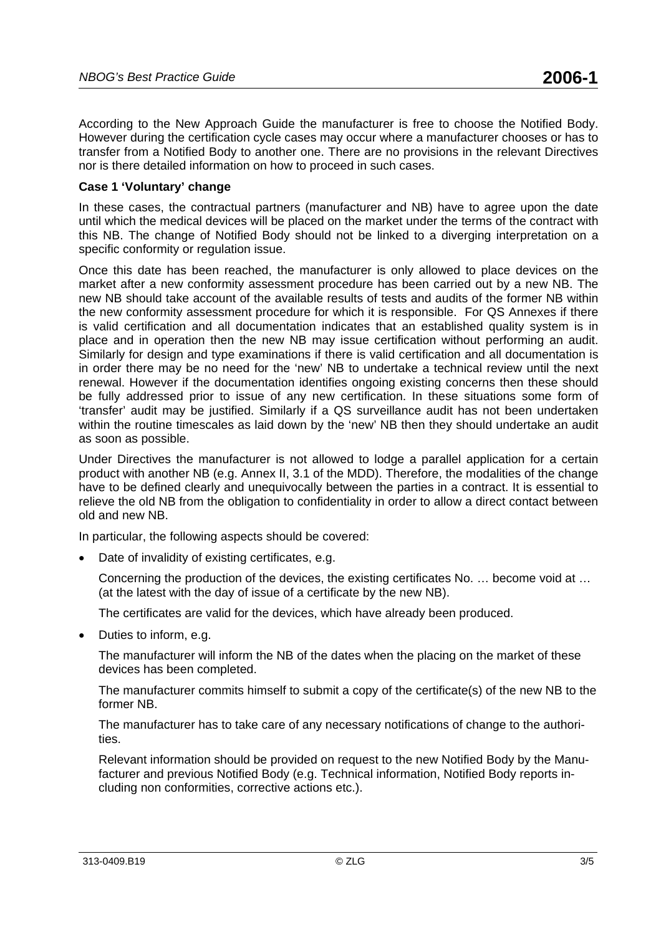According to the New Approach Guide the manufacturer is free to choose the Notified Body. However during the certification cycle cases may occur where a manufacturer chooses or has to transfer from a Notified Body to another one. There are no provisions in the relevant Directives nor is there detailed information on how to proceed in such cases.

### **Case 1 'Voluntary' change**

In these cases, the contractual partners (manufacturer and NB) have to agree upon the date until which the medical devices will be placed on the market under the terms of the contract with this NB. The change of Notified Body should not be linked to a diverging interpretation on a specific conformity or regulation issue.

Once this date has been reached, the manufacturer is only allowed to place devices on the market after a new conformity assessment procedure has been carried out by a new NB. The new NB should take account of the available results of tests and audits of the former NB within the new conformity assessment procedure for which it is responsible. For QS Annexes if there is valid certification and all documentation indicates that an established quality system is in place and in operation then the new NB may issue certification without performing an audit. Similarly for design and type examinations if there is valid certification and all documentation is in order there may be no need for the 'new' NB to undertake a technical review until the next renewal. However if the documentation identifies ongoing existing concerns then these should be fully addressed prior to issue of any new certification. In these situations some form of 'transfer' audit may be justified. Similarly if a QS surveillance audit has not been undertaken within the routine timescales as laid down by the 'new' NB then they should undertake an audit as soon as possible.

Under Directives the manufacturer is not allowed to lodge a parallel application for a certain product with another NB (e.g. Annex II, 3.1 of the MDD). Therefore, the modalities of the change have to be defined clearly and unequivocally between the parties in a contract. It is essential to relieve the old NB from the obligation to confidentiality in order to allow a direct contact between old and new NB.

In particular, the following aspects should be covered:

Date of invalidity of existing certificates, e.g.

Concerning the production of the devices, the existing certificates No. … become void at … (at the latest with the day of issue of a certificate by the new NB).

The certificates are valid for the devices, which have already been produced.

• Duties to inform, e.g.

The manufacturer will inform the NB of the dates when the placing on the market of these devices has been completed.

The manufacturer commits himself to submit a copy of the certificate(s) of the new NB to the former NB.

The manufacturer has to take care of any necessary notifications of change to the authorities.

Relevant information should be provided on request to the new Notified Body by the Manufacturer and previous Notified Body (e.g. Technical information, Notified Body reports including non conformities, corrective actions etc.).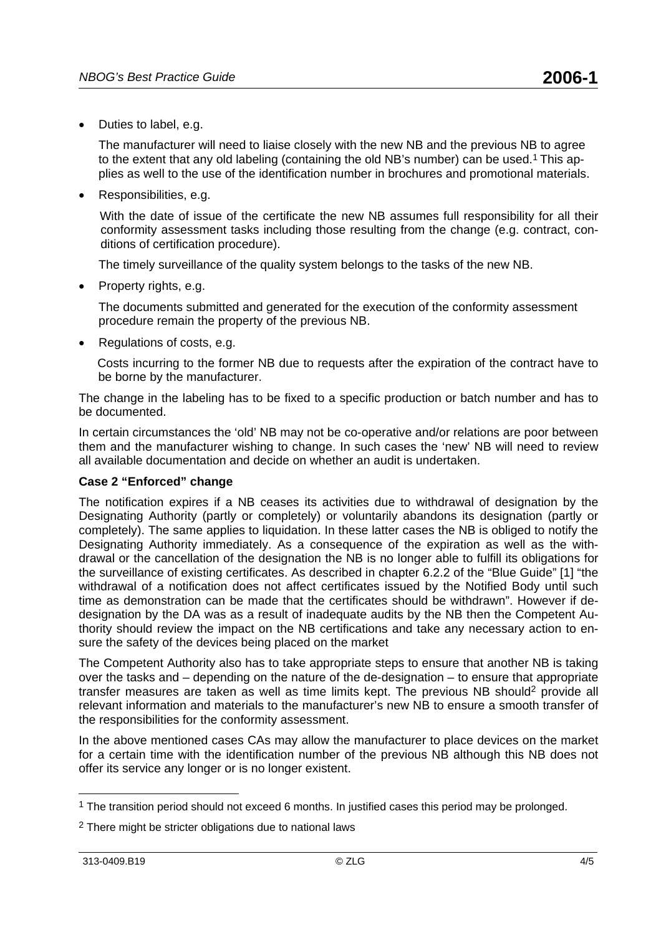• Duties to label, e.g.

The manufacturer will need to liaise closely with the new NB and the previous NB to agree to the extent that any old labeling (containing the old NB's number) can be used.<sup>1</sup> This applies as well to the use of the identification number in brochures and promotional materials.

• Responsibilities, e.g.

With the date of issue of the certificate the new NB assumes full responsibility for all their conformity assessment tasks including those resulting from the change (e.g. contract, conditions of certification procedure).

The timely surveillance of the quality system belongs to the tasks of the new NB.

• Property rights, e.g.

The documents submitted and generated for the execution of the conformity assessment procedure remain the property of the previous NB.

• Regulations of costs, e.g.

Costs incurring to the former NB due to requests after the expiration of the contract have to be borne by the manufacturer.

The change in the labeling has to be fixed to a specific production or batch number and has to be documented.

In certain circumstances the 'old' NB may not be co-operative and/or relations are poor between them and the manufacturer wishing to change. In such cases the 'new' NB will need to review all available documentation and decide on whether an audit is undertaken.

#### **Case 2 "Enforced" change**

The notification expires if a NB ceases its activities due to withdrawal of designation by the Designating Authority (partly or completely) or voluntarily abandons its designation (partly or completely). The same applies to liquidation. In these latter cases the NB is obliged to notify the Designating Authority immediately. As a consequence of the expiration as well as the withdrawal or the cancellation of the designation the NB is no longer able to fulfill its obligations for the surveillance of existing certificates. As described in chapter 6.2.2 of the "Blue Guide" [1] "the withdrawal of a notification does not affect certificates issued by the Notified Body until such time as demonstration can be made that the certificates should be withdrawn". However if dedesignation by the DA was as a result of inadequate audits by the NB then the Competent Authority should review the impact on the NB certifications and take any necessary action to ensure the safety of the devices being placed on the market

The Competent Authority also has to take appropriate steps to ensure that another NB is taking over the tasks and – depending on the nature of the de-designation – to ensure that appropriate transfer measures are taken as well as time limits kept. The previous NB should2 provide all relevant information and materials to the manufacturer's new NB to ensure a smooth transfer of the responsibilities for the conformity assessment.

In the above mentioned cases CAs may allow the manufacturer to place devices on the market for a certain time with the identification number of the previous NB although this NB does not offer its service any longer or is no longer existent.

<sup>&</sup>lt;sup>1</sup> The transition period should not exceed 6 months. In justified cases this period may be prolonged.

<sup>2</sup> There might be stricter obligations due to national laws